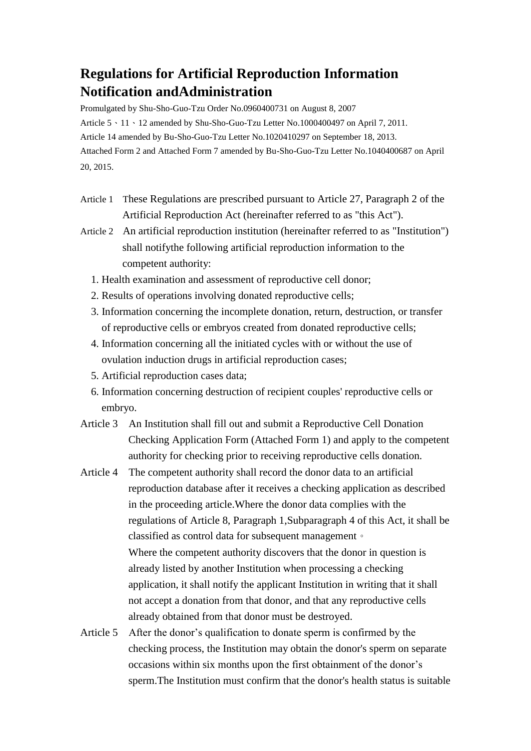# **Regulations for Artificial Reproduction Information Notification andAdministration**

Promulgated by Shu-Sho-Guo-Tzu Order No.0960400731 on August 8, 2007 Article 5、11、12 amended by Shu-Sho-Guo-Tzu Letter No.1000400497 on April 7, 2011. Article 14 amended by Bu-Sho-Guo-Tzu Letter No.1020410297 on September 18, 2013. Attached Form 2 and Attached Form 7 amended by Bu-Sho-Guo-Tzu Letter No.1040400687 on April 20, 2015.

- Article 1 These Regulations are prescribed pursuant to Article 27, Paragraph 2 of the Artificial Reproduction Act (hereinafter referred to as "this Act").
- Article 2 An artificial reproduction institution (hereinafter referred to as "Institution") shall notifythe following artificial reproduction information to the competent authority:
	- 1. Health examination and assessment of reproductive cell donor;
	- 2. Results of operations involving donated reproductive cells;
	- 3. Information concerning the incomplete donation, return, destruction, or transfer of reproductive cells or embryos created from donated reproductive cells;
	- 4. Information concerning all the initiated cycles with or without the use of ovulation induction drugs in artificial reproduction cases;
	- 5. Artificial reproduction cases data;
	- 6. Information concerning destruction of recipient couples' reproductive cells or embryo.
- Article 3 An Institution shall fill out and submit a Reproductive Cell Donation Checking Application Form (Attached Form 1) and apply to the competent authority for checking prior to receiving reproductive cells donation.
- Article 4 The competent authority shall record the donor data to an artificial reproduction database after it receives a checking application as described in the proceeding article.Where the donor data complies with the regulations of Article 8, Paragraph 1,Subparagraph 4 of this Act, it shall be classified as control data for subsequent management。 Where the competent authority discovers that the donor in question is already listed by another Institution when processing a checking application, it shall notify the applicant Institution in writing that it shall not accept a donation from that donor, and that any reproductive cells already obtained from that donor must be destroyed.
- Article 5 After the donor's qualification to donate sperm is confirmed by the checking process, the Institution may obtain the donor's sperm on separate occasions within six months upon the first obtainment of the donor's sperm.The Institution must confirm that the donor's health status is suitable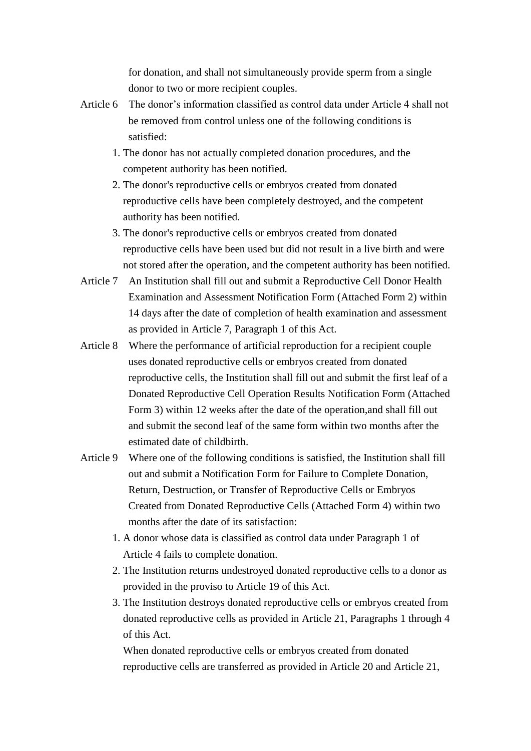for donation, and shall not simultaneously provide sperm from a single donor to two or more recipient couples.

- Article 6 The donor's information classified as control data under Article 4 shall not be removed from control unless one of the following conditions is satisfied:
	- 1. The donor has not actually completed donation procedures, and the competent authority has been notified.
	- 2. The donor's reproductive cells or embryos created from donated reproductive cells have been completely destroyed, and the competent authority has been notified.
	- 3. The donor's reproductive cells or embryos created from donated reproductive cells have been used but did not result in a live birth and were not stored after the operation, and the competent authority has been notified.
- Article 7 An Institution shall fill out and submit a Reproductive Cell Donor Health Examination and Assessment Notification Form (Attached Form 2) within 14 days after the date of completion of health examination and assessment as provided in Article 7, Paragraph 1 of this Act.
- Article 8 Where the performance of artificial reproduction for a recipient couple uses donated reproductive cells or embryos created from donated reproductive cells, the Institution shall fill out and submit the first leaf of a Donated Reproductive Cell Operation Results Notification Form (Attached Form 3) within 12 weeks after the date of the operation,and shall fill out and submit the second leaf of the same form within two months after the estimated date of childbirth.
- Article 9 Where one of the following conditions is satisfied, the Institution shall fill out and submit a Notification Form for Failure to Complete Donation, Return, Destruction, or Transfer of Reproductive Cells or Embryos Created from Donated Reproductive Cells (Attached Form 4) within two months after the date of its satisfaction:
	- 1. A donor whose data is classified as control data under Paragraph 1 of Article 4 fails to complete donation.
	- 2. The Institution returns undestroyed donated reproductive cells to a donor as provided in the proviso to Article 19 of this Act.
	- 3. The Institution destroys donated reproductive cells or embryos created from donated reproductive cells as provided in Article 21, Paragraphs 1 through 4 of this Act.

When donated reproductive cells or embryos created from donated reproductive cells are transferred as provided in Article 20 and Article 21,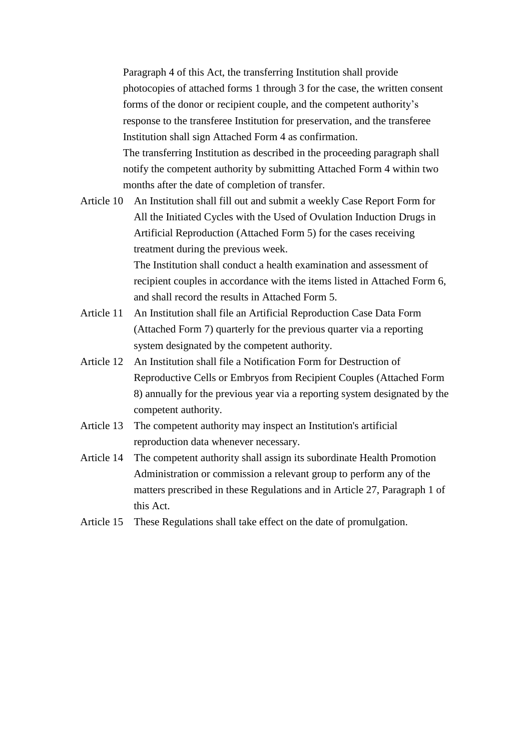Paragraph 4 of this Act, the transferring Institution shall provide photocopies of attached forms 1 through 3 for the case, the written consent forms of the donor or recipient couple, and the competent authority's response to the transferee Institution for preservation, and the transferee Institution shall sign Attached Form 4 as confirmation. The transferring Institution as described in the proceeding paragraph shall notify the competent authority by submitting Attached Form 4 within two months after the date of completion of transfer.

Article 10 An Institution shall fill out and submit a weekly Case Report Form for All the Initiated Cycles with the Used of Ovulation Induction Drugs in Artificial Reproduction (Attached Form 5) for the cases receiving treatment during the previous week. The Institution shall conduct a health examination and assessment of

recipient couples in accordance with the items listed in Attached Form 6, and shall record the results in Attached Form 5.

- Article 11 An Institution shall file an Artificial Reproduction Case Data Form (Attached Form 7) quarterly for the previous quarter via a reporting system designated by the competent authority.
- Article 12 An Institution shall file a Notification Form for Destruction of Reproductive Cells or Embryos from Recipient Couples (Attached Form 8) annually for the previous year via a reporting system designated by the competent authority.
- Article 13 The competent authority may inspect an Institution's artificial reproduction data whenever necessary.
- Article 14 The competent authority shall assign its subordinate Health Promotion Administration or commission a relevant group to perform any of the matters prescribed in these Regulations and in Article 27, Paragraph 1 of this Act.
- Article 15 These Regulations shall take effect on the date of promulgation.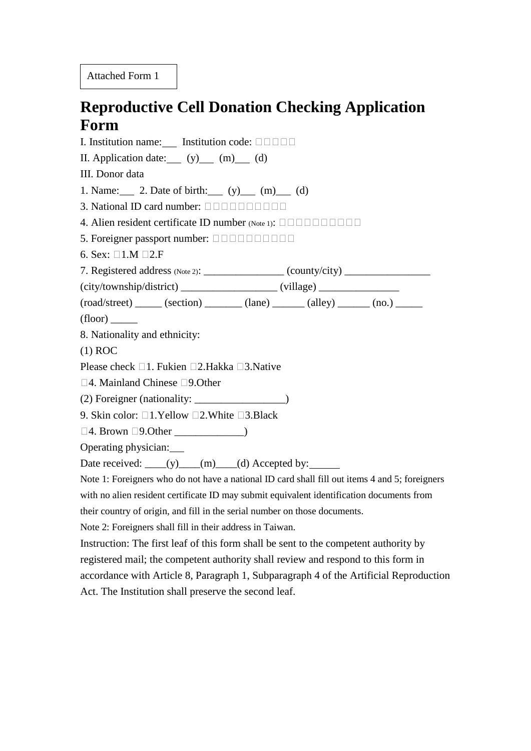Attached Form 1

# **Reproductive Cell Donation Checking Application Form**

I. Institution name: Institution code:  $\Box$ II. Application date:  $(y)$  (m) (d) III. Donor data 1. Name: 2. Date of birth:  $(v)$  (m) (d) 3. National ID card number: 4. Alien resident certificate ID number (Note 1):  $\Box \Box \Box \Box \Box \Box \Box \Box$ 5. Foreigner passport number: 6. Sex:  $\square$ 1.M  $\square$ 2.F 7. Registered address  $(Note 2)$ :  $\qquad \qquad$   $\qquad \qquad$   $\qquad \qquad$   $\qquad \qquad$   $\qquad \qquad$   $\qquad \qquad$   $\qquad \qquad$   $\qquad \qquad$   $\qquad \qquad$   $\qquad \qquad$   $\qquad \qquad$   $\qquad \qquad$   $\qquad \qquad$   $\qquad \qquad$   $\qquad \qquad$   $\qquad \qquad$   $\qquad \qquad$   $\qquad \qquad$   $\qquad \qquad$   $\qquad \qquad$   $\qquad \qquad$  (city/township/district) \_\_\_\_\_\_\_\_\_\_\_\_\_\_\_\_\_\_ (village) \_\_\_\_\_\_\_\_\_\_\_\_\_\_\_  $(root)$   $(seed/street)$   $(section)$   $(lane)$   $(alley)$   $(no.)$   $(no.)$  $(floor)$ 8. Nationality and ethnicity: (1) ROC Please check  $\Box$ 1. Fukien  $\Box$ 2.Hakka  $\Box$ 3.Native  $\square$ 4. Mainland Chinese  $\square$ 9.0ther (2) Foreigner (nationality: \_\_\_\_\_\_\_\_\_\_\_\_\_\_\_\_\_) 9. Skin color:  $\square$ 1. Yellow  $\square$ 2. White  $\square$ 3. Black  $\Box$  4. Brown  $\Box$  9. Other  $\Box$ Operating physician: Date received:  $(y)$  (m) (d) Accepted by: Note 1: Foreigners who do not have a national ID card shall fill out items 4 and 5; foreigners with no alien resident certificate ID may submit equivalent identification documents from their country of origin, and fill in the serial number on those documents. Note 2: Foreigners shall fill in their address in Taiwan. Instruction: The first leaf of this form shall be sent to the competent authority by registered mail; the competent authority shall review and respond to this form in accordance with Article 8, Paragraph 1, Subparagraph 4 of the Artificial Reproduction

Act. The Institution shall preserve the second leaf.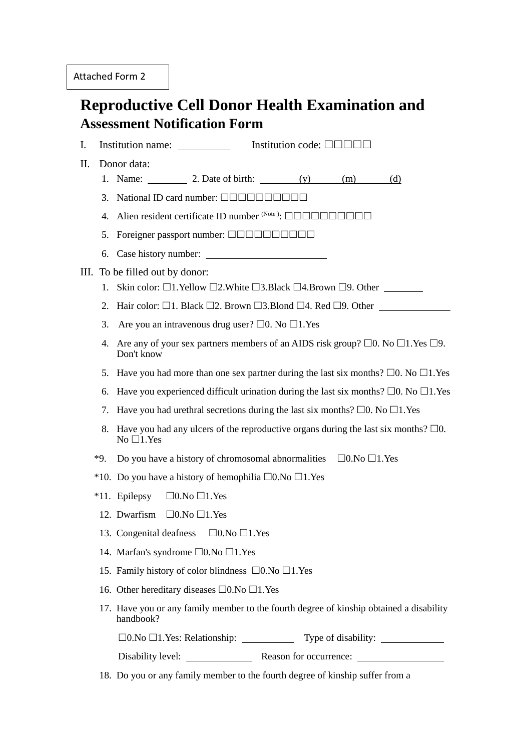## **Reproductive Cell Donor Health Examination and Assessment Notification Form**

I. Institution name: Institution code:  $\Box$ 

II. Donor data:

- 1. Name:  $\frac{2. \text{Date of birth:}}{(y)}$  (m) (d)
- 3. National ID card number:  $\Box \Box \Box \Box \Box \Box \Box \Box$
- 4. Alien resident certificate ID number  $(Note)$ :  $\Box \Box \Box \Box \Box \Box \Box \Box$
- 5. Foreigner passport number:  $\Box$  $\Box$  $\Box$  $\Box$  $\Box$  $\Box$  $\Box$  $\Box$  $\Box$
- 6. Case history number:

#### III. To be filled out by donor:

- 1. Skin color:  $\Box$ 1.Yellow  $\Box$ 2.White  $\Box$ 3.Black  $\Box$ 4.Brown  $\Box$ 9. Other
- 2. Hair color:  $\Box$ 1. Black  $\Box$ 2. Brown  $\Box$ 3. Blond  $\Box$ 4. Red  $\Box$ 9. Other
- 3. Are you an intravenous drug user?  $\Box$ 0. No  $\Box$ 1. Yes
- 4. Are any of your sex partners members of an AIDS risk group?  $\Box$ 0. No  $\Box$ 1. Yes  $\Box$ 9. Don't know
- 5. Have you had more than one sex partner during the last six months?  $\Box$ 0. No  $\Box$ 1. Yes
- 6. Have you experienced difficult urination during the last six months?  $\Box$ 0. No  $\Box$ 1.Yes
- 7. Have you had urethral secretions during the last six months?  $\Box$ 0. No  $\Box$ 1. Yes
- 8. Have you had any ulcers of the reproductive organs during the last six months?  $\Box 0$ .  $No$   $\Box$ 1. Yes
- \*9. Do you have a history of chromosomal abnormalities  $\Box$ 0.No  $\Box$ 1.Yes
- \*10. Do you have a history of hemophilia  $\square$ 0.No  $\square$ 1.Yes
- \*11. Epilepsy  $\Box$ 0.No  $\Box$ 1.Yes
	- 12. Dwarfism  $\Box$ 0. No  $\Box$ 1. Yes
	- 13. Congenital deafness  $\Box$ 0.No  $\Box$ 1.Yes
	- 14. Marfan's syndrome  $\square$ 0.No  $\square$ 1.Yes
	- 15. Family history of color blindness  $\square$ 0.No  $\square$ 1.Yes
	- 16. Other hereditary diseases  $\square$ 0.No  $\square$ 1.Yes
	- 17. Have you or any family member to the fourth degree of kinship obtained a disability handbook?

 $\square$ 0.No  $\square$ 1.Yes: Relationship:  $\square$  Type of disability:

Disability level: Reason for occurrence:

18. Do you or any family member to the fourth degree of kinship suffer from a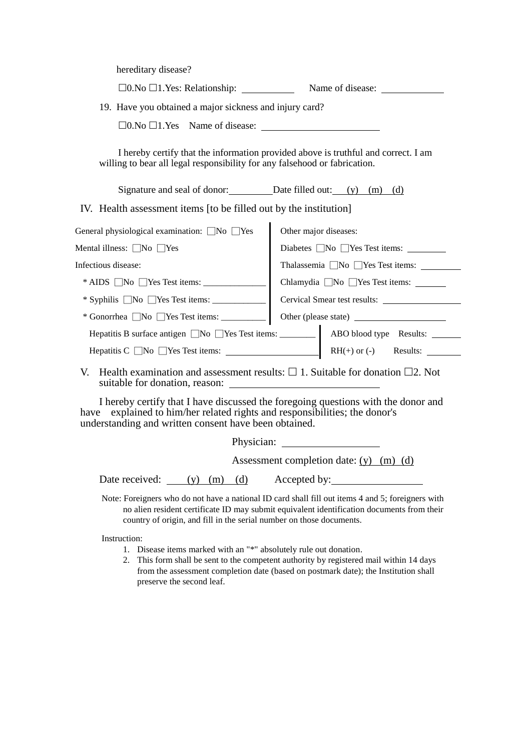hereditary disease?

|                                                                                                                                        | $\square$ 0. No $\square$ 1. Yes: Relationship: $\angle$ Name of disease: $\square$ |  |
|----------------------------------------------------------------------------------------------------------------------------------------|-------------------------------------------------------------------------------------|--|
| 19. Have you obtained a major sickness and injury card?                                                                                |                                                                                     |  |
| $\square$ 0. No $\square$ 1. Yes Name of disease:                                                                                      |                                                                                     |  |
| willing to bear all legal responsibility for any falsehood or fabrication.                                                             | I hereby certify that the information provided above is truthful and correct. I am  |  |
| Signature and seal of donor: Date filled out: (y) (m) (d)                                                                              |                                                                                     |  |
| IV. Health assessment items [to be filled out by the institution]                                                                      |                                                                                     |  |
| General physiological examination: $\Box$ No $\Box$ Yes                                                                                | Other major diseases:                                                               |  |
| Mental illness: $\Box$ No $\Box$ Yes                                                                                                   | Diabetes No Yes Test items:                                                         |  |
| Infectious disease:                                                                                                                    |                                                                                     |  |
|                                                                                                                                        | Chlamydia $\Box$ No $\Box$ Yes Test items:                                          |  |
| * Syphilis $\Box$ No $\Box$ Yes Test items: $\Box$                                                                                     | Cervical Smear test results:                                                        |  |
|                                                                                                                                        |                                                                                     |  |
|                                                                                                                                        |                                                                                     |  |
|                                                                                                                                        |                                                                                     |  |
| V. Health examination and assessment results: $\square$ 1. Suitable for donation $\square$ 2. Not                                      |                                                                                     |  |
| explained to him/her related rights and responsibilities; the donor's<br>have<br>understanding and written consent have been obtained. | I hereby certify that I have discussed the foregoing questions with the donor and   |  |
|                                                                                                                                        |                                                                                     |  |
|                                                                                                                                        | Assessment completion date: $(y)$ (m) (d)                                           |  |
| Date received: $(y)$ (m) (d)                                                                                                           | Accepted by:                                                                        |  |
|                                                                                                                                        |                                                                                     |  |

Note: Foreigners who do not have a national ID card shall fill out items 4 and 5; foreigners with no alien resident certificate ID may submit equivalent identification documents from their country of origin, and fill in the serial number on those documents.

Instruction:

- 1. Disease items marked with an "\*" absolutely rule out donation.
- 2. This form shall be sent to the competent authority by registered mail within 14 days from the assessment completion date (based on postmark date); the Institution shall preserve the second leaf.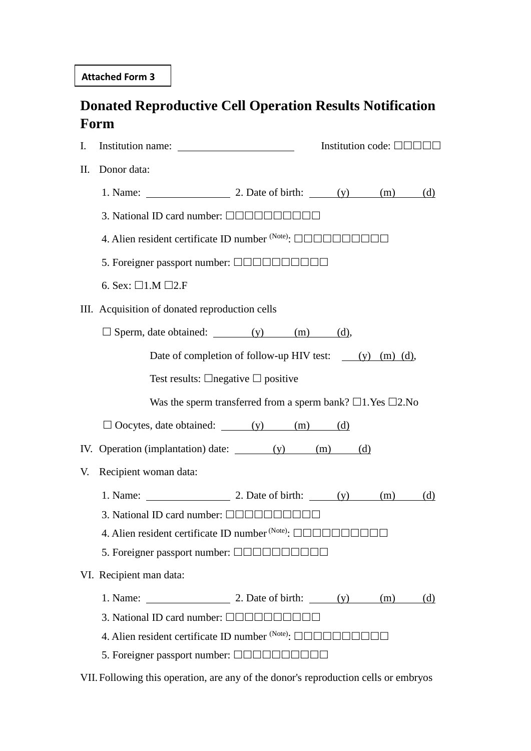# **Donated Reproductive Cell Operation Results Notification Form**

| I.  |                                                                               |  | Institution code: $\Box$ $\Box$ $\Box$ $\Box$ $\Box$ |     |
|-----|-------------------------------------------------------------------------------|--|------------------------------------------------------|-----|
| II. | Donor data:                                                                   |  |                                                      |     |
|     | 1. Name: $\qquad \qquad$ 2. Date of birth: $(y)$ (m)                          |  |                                                      | (d) |
|     | 3. National ID card number: <b>QQQQQQQQQQQ</b>                                |  |                                                      |     |
|     | 4. Alien resident certificate ID number (Note): 0000000000                    |  |                                                      |     |
|     | 5. Foreigner passport number: <b>QQQQQQQQQQ</b>                               |  |                                                      |     |
|     | 6. Sex: $\Box$ 1.M $\Box$ 2.F                                                 |  |                                                      |     |
|     | III. Acquisition of donated reproduction cells                                |  |                                                      |     |
|     | $\Box$ Sperm, date obtained: (y) (m) (d),                                     |  |                                                      |     |
|     | Date of completion of follow-up HIV test: $(y)$ (m) (d),                      |  |                                                      |     |
|     | Test results: $\Box$ negative $\Box$ positive                                 |  |                                                      |     |
|     | Was the sperm transferred from a sperm bank? $\square$ 1. Yes $\square$ 2. No |  |                                                      |     |
|     | $\Box$ Oocytes, date obtained: $(y)$ (m) (d)                                  |  |                                                      |     |
|     |                                                                               |  |                                                      |     |
| V.  | Recipient woman data:                                                         |  |                                                      |     |
|     | 1. Name: $\qquad \qquad$ 2. Date of birth: $(y)$ (m)                          |  |                                                      | (d) |
|     | 3. National ID card number: $\Box \Box \Box \Box \Box \Box \Box \Box$         |  |                                                      |     |
|     | 4. Alien resident certificate ID number (Note): 00000000000                   |  |                                                      |     |
|     | 5. Foreigner passport number: <b>QQQQQQ</b> I                                 |  |                                                      |     |
|     | VI. Recipient man data:                                                       |  |                                                      |     |
|     | 1. Name: $\frac{1}{2}$ 2. Date of birth: $\frac{y}{y}$ (m)                    |  |                                                      | (d) |
|     | 3. National ID card number: $\Box$ $\Box$ $\Box$ $\Box$ $\Box$                |  |                                                      |     |
|     | 4. Alien resident certificate ID number $(Note)$ : $\Box$                     |  |                                                      |     |
|     | 5. Foreigner passport number: $\Box$ $\Box$ $\Box$ $\Box$                     |  |                                                      |     |

VII. Following this operation, are any of the donor's reproduction cells or embryos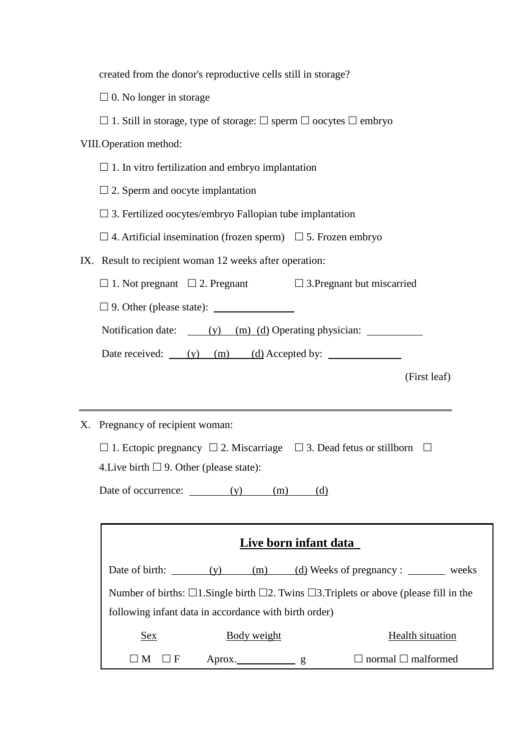| created from the donor's reproductive cells still in storage?                                            |  |  |  |
|----------------------------------------------------------------------------------------------------------|--|--|--|
| $\square$ 0. No longer in storage                                                                        |  |  |  |
| $\Box$ 1. Still in storage, type of storage: $\Box$ sperm $\Box$ oocytes $\Box$ embryo                   |  |  |  |
| VIII. Operation method:                                                                                  |  |  |  |
| $\Box$ 1. In vitro fertilization and embryo implantation                                                 |  |  |  |
| $\square$ 2. Sperm and oocyte implantation                                                               |  |  |  |
| $\Box$ 3. Fertilized oocytes/embryo Fallopian tube implantation                                          |  |  |  |
| $\Box$ 4. Artificial insemination (frozen sperm) $\Box$ 5. Frozen embryo                                 |  |  |  |
| IX. Result to recipient woman 12 weeks after operation:                                                  |  |  |  |
| $\Box$ 1. Not pregnant $\Box$ 2. Pregnant $\Box$ 3. Pregnant but miscarried                              |  |  |  |
|                                                                                                          |  |  |  |
| Notification date: (y) (m) (d) Operating physician:                                                      |  |  |  |
| Date received: (y) (m) (d) Accepted by:                                                                  |  |  |  |
| (First leaf)                                                                                             |  |  |  |
|                                                                                                          |  |  |  |
| X. Pregnancy of recipient woman:                                                                         |  |  |  |
| $\Box$ 1. Ectopic pregnancy $\Box$ 2. Miscarriage $\Box$ 3. Dead fetus or stillborn $\Box$               |  |  |  |
| 4. Live birth $\Box$ 9. Other (please state):                                                            |  |  |  |
| Date of occurrence: (y)<br>(m)<br>(d)                                                                    |  |  |  |
|                                                                                                          |  |  |  |
| Live born infant data                                                                                    |  |  |  |
| Date of birth: $(y)$<br>$(m)$ (d) Weeks of pregnancy :<br>weeks                                          |  |  |  |
| Number of births: $\Box$ 1. Single birth $\Box$ 2. Twins $\Box$ 3. Triplets or above (please fill in the |  |  |  |
| following infant data in accordance with birth order)                                                    |  |  |  |
| <b>Health situation</b><br>Body weight<br><u>Sex</u>                                                     |  |  |  |

 $\square M \square F$  Aprox.  $g$   $\square$  normal  $\square$  malformed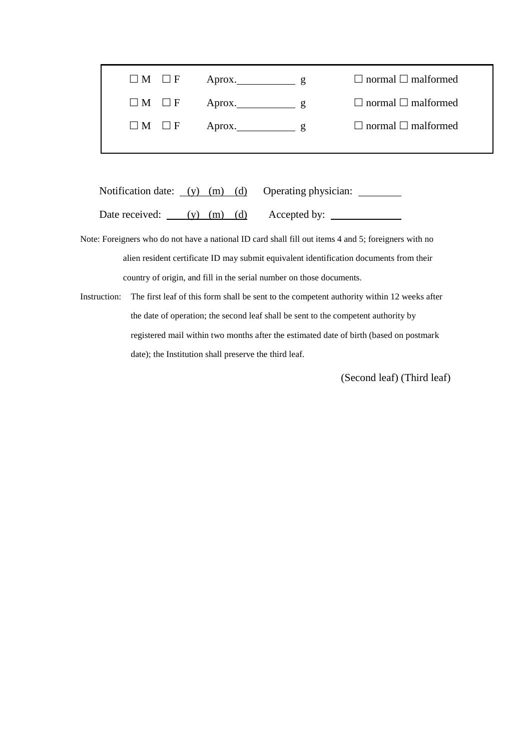| $\Box M$ $\Box F$ Aprox. $g$ |                                 | $\Box$ normal $\Box$ malformed |
|------------------------------|---------------------------------|--------------------------------|
| $\Box M$ $\Box F$            | Aprox. $\qquad \qquad \qquad g$ | $\Box$ normal $\Box$ malformed |

Notification date: <u>(y)</u> (m) (d) Operating physician: Date received: (y) (m) (d) Accepted by:

Note: Foreigners who do not have a national ID card shall fill out items 4 and 5; foreigners with no alien resident certificate ID may submit equivalent identification documents from their country of origin, and fill in the serial number on those documents.

Instruction: The first leaf of this form shall be sent to the competent authority within 12 weeks after the date of operation; the second leaf shall be sent to the competent authority by registered mail within two months after the estimated date of birth (based on postmark date); the Institution shall preserve the third leaf.

(Second leaf) (Third leaf)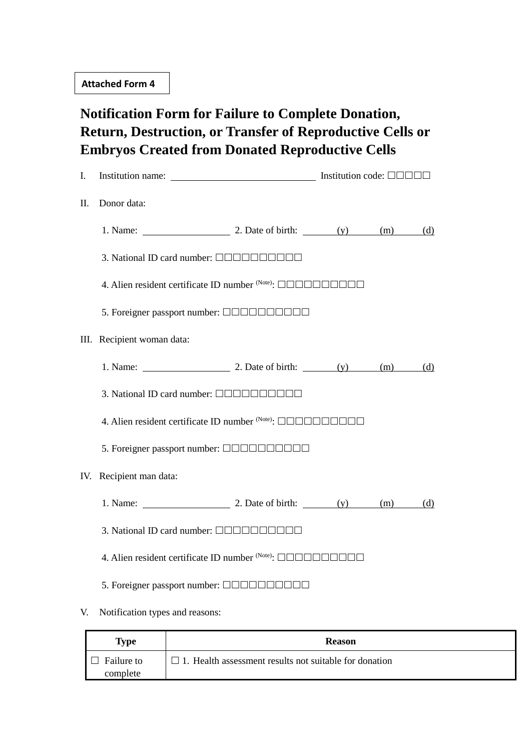# **Notification Form for Failure to Complete Donation, Return, Destruction, or Transfer of Reproductive Cells or Embryos Created from Donated Reproductive Cells**

| I.  | Institution name: Institution code: $\Box$                                                      |  |     |
|-----|-------------------------------------------------------------------------------------------------|--|-----|
| П.  | Donor data:                                                                                     |  |     |
|     | 1. Name: $\qquad \qquad$ 2. Date of birth: $\qquad \qquad$ (y) $\qquad \qquad$ (m) $\qquad$ (d) |  |     |
|     | 3. National ID card number: <b>QQQQQQQQQQ</b>                                                   |  |     |
|     | 4. Alien resident certificate ID number (Note): 00000000000                                     |  |     |
|     |                                                                                                 |  |     |
|     | III. Recipient woman data:                                                                      |  |     |
|     | 1. Name: $\qquad \qquad$ 2. Date of birth: $(y)$ (m) (d)                                        |  |     |
|     | 3. National ID card number: <b>QQQQQQQQQQQ</b>                                                  |  |     |
|     | 4. Alien resident certificate ID number (Note): 00000000000                                     |  |     |
|     | 5. Foreigner passport number: $\Box$ $\Box$ $\Box$ $\Box$ $\Box$ $\Box$ $\Box$ $\Box$ $\Box$    |  |     |
| IV. | Recipient man data:                                                                             |  |     |
|     | 1. Name: $\frac{1}{2}$ 2. Date of birth: $\frac{y}{y}$ (m) (m)                                  |  | (d) |
|     | 3. National ID card number: <b>QQQQQQQQQQ</b>                                                   |  |     |
|     |                                                                                                 |  |     |
|     |                                                                                                 |  |     |
| V.  | Notification types and reasons:                                                                 |  |     |

| Type                          | <b>Reason</b>                                                 |
|-------------------------------|---------------------------------------------------------------|
| <b>Failure to</b><br>complete | $\Box$ 1. Health assessment results not suitable for donation |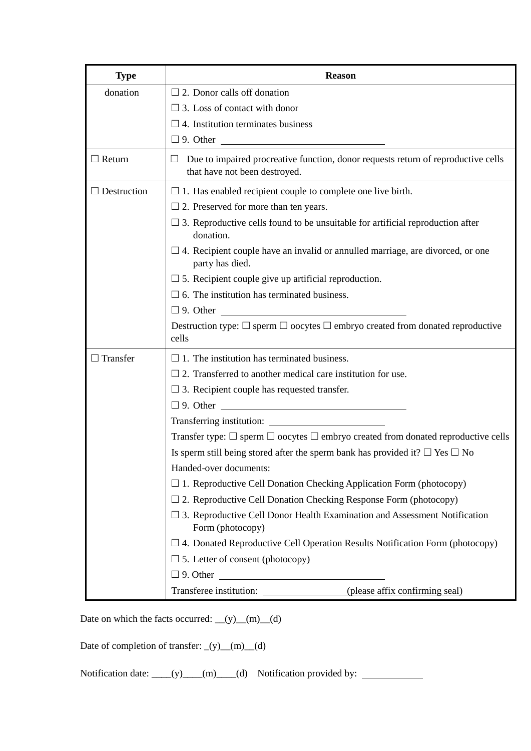| <b>Type</b>        | <b>Reason</b>                                                                                                           |
|--------------------|-------------------------------------------------------------------------------------------------------------------------|
| donation           | $\Box$ 2. Donor calls off donation                                                                                      |
|                    | $\Box$ 3. Loss of contact with donor                                                                                    |
|                    | $\square$ 4. Institution terminates business                                                                            |
|                    | $\Box$ 9. Other $\Box$                                                                                                  |
| $\Box$ Return      | Due to impaired procreative function, donor requests return of reproductive cells<br>ப<br>that have not been destroyed. |
| $\Box$ Destruction | $\Box$ 1. Has enabled recipient couple to complete one live birth.                                                      |
|                    | $\Box$ 2. Preserved for more than ten years.                                                                            |
|                    | $\Box$ 3. Reproductive cells found to be unsuitable for artificial reproduction after<br>donation.                      |
|                    | $\Box$ 4. Recipient couple have an invalid or annulled marriage, are divorced, or one<br>party has died.                |
|                    | $\square$ 5. Recipient couple give up artificial reproduction.                                                          |
|                    | $\Box$ 6. The institution has terminated business.                                                                      |
|                    |                                                                                                                         |
|                    | Destruction type: $\Box$ sperm $\Box$ oocytes $\Box$ embryo created from donated reproductive<br>cells                  |
| $\Box$ Transfer    | $\Box$ 1. The institution has terminated business.                                                                      |
|                    | $\Box$ 2. Transferred to another medical care institution for use.                                                      |
|                    | $\Box$ 3. Recipient couple has requested transfer.                                                                      |
|                    |                                                                                                                         |
|                    |                                                                                                                         |
|                    | Transfer type: $\Box$ sperm $\Box$ oocytes $\Box$ embryo created from donated reproductive cells                        |
|                    | Is sperm still being stored after the sperm bank has provided it? $\square$ Yes $\square$ No                            |
|                    | Handed-over documents:                                                                                                  |
|                    | $\Box$ 1. Reproductive Cell Donation Checking Application Form (photocopy)                                              |
|                    | $\Box$ 2. Reproductive Cell Donation Checking Response Form (photocopy)                                                 |
|                    | $\Box$ 3. Reproductive Cell Donor Health Examination and Assessment Notification<br>Form (photocopy)                    |
|                    | $\Box$ 4. Donated Reproductive Cell Operation Results Notification Form (photocopy)                                     |
|                    | $\Box$ 5. Letter of consent (photocopy)                                                                                 |
|                    |                                                                                                                         |
|                    | Transferee institution: (please affix confirming seal)                                                                  |

Date on which the facts occurred:  $(y)$  (m) (d)

Date of completion of transfer: \_(y)\_(m)\_(d)

Notification date: \_\_\_\_(y)\_\_\_\_(m)\_\_\_(d) Notification provided by: \_\_\_\_\_\_\_\_\_\_\_\_\_\_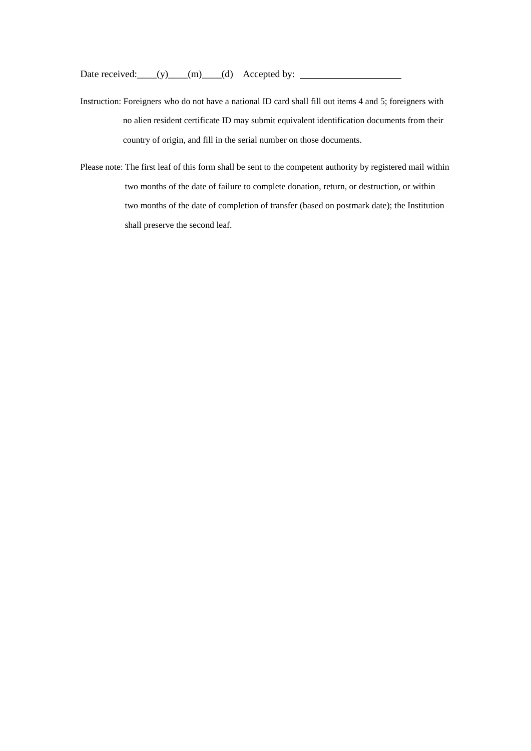Date received:\_\_\_\_(y)\_\_\_\_(m)\_\_\_\_(d) Accepted by:

- Instruction: Foreigners who do not have a national ID card shall fill out items 4 and 5; foreigners with no alien resident certificate ID may submit equivalent identification documents from their country of origin, and fill in the serial number on those documents.
- Please note: The first leaf of this form shall be sent to the competent authority by registered mail within two months of the date of failure to complete donation, return, or destruction, or within two months of the date of completion of transfer (based on postmark date); the Institution shall preserve the second leaf.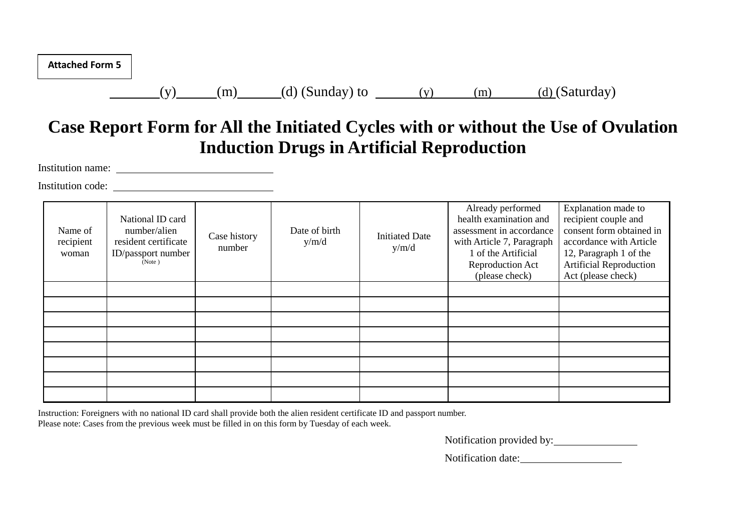| <b>Attached Form 5</b> |  |
|------------------------|--|
|------------------------|--|

(y) (m) (d) (Sunday) to (y) (m) (d) (Saturday)

# **Case Report Form for All the Initiated Cycles with or without the Use of Ovulation Induction Drugs in Artificial Reproduction**

Institution name:

Institution code:

| Name of<br>recipient<br>woman | National ID card<br>number/alien<br>resident certificate<br>ID/passport number<br>(Note) | Case history<br>number | Date of birth<br>y/m/d | <b>Initiated Date</b><br>y/m/d | Already performed<br>health examination and<br>assessment in accordance<br>with Article 7, Paragraph<br>1 of the Artificial<br>Reproduction Act<br>(please check) | Explanation made to<br>recipient couple and<br>consent form obtained in<br>accordance with Article<br>12, Paragraph 1 of the<br><b>Artificial Reproduction</b><br>Act (please check) |
|-------------------------------|------------------------------------------------------------------------------------------|------------------------|------------------------|--------------------------------|-------------------------------------------------------------------------------------------------------------------------------------------------------------------|--------------------------------------------------------------------------------------------------------------------------------------------------------------------------------------|
|                               |                                                                                          |                        |                        |                                |                                                                                                                                                                   |                                                                                                                                                                                      |
|                               |                                                                                          |                        |                        |                                |                                                                                                                                                                   |                                                                                                                                                                                      |
|                               |                                                                                          |                        |                        |                                |                                                                                                                                                                   |                                                                                                                                                                                      |
|                               |                                                                                          |                        |                        |                                |                                                                                                                                                                   |                                                                                                                                                                                      |
|                               |                                                                                          |                        |                        |                                |                                                                                                                                                                   |                                                                                                                                                                                      |
|                               |                                                                                          |                        |                        |                                |                                                                                                                                                                   |                                                                                                                                                                                      |
|                               |                                                                                          |                        |                        |                                |                                                                                                                                                                   |                                                                                                                                                                                      |
|                               |                                                                                          |                        |                        |                                |                                                                                                                                                                   |                                                                                                                                                                                      |

Instruction: Foreigners with no national ID card shall provide both the alien resident certificate ID and passport number. Please note: Cases from the previous week must be filled in on this form by Tuesday of each week.

Notification provided by:

Notification date: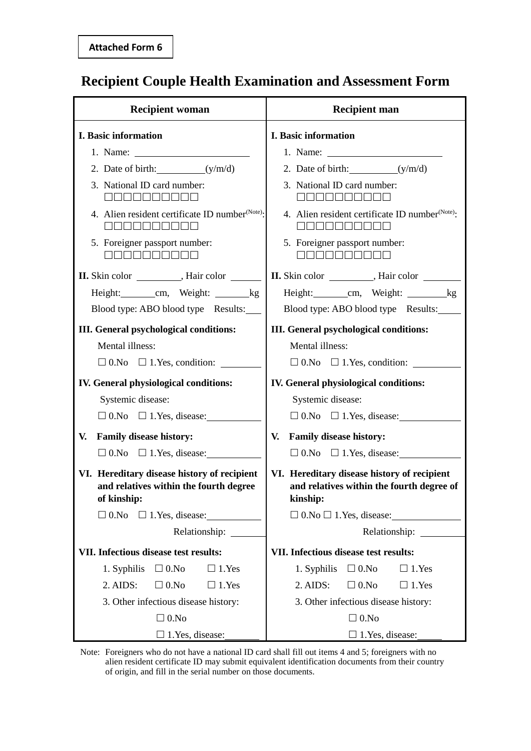# **Recipient Couple Health Examination and Assessment Form**

| <b>Recipient woman</b>                                                                               | <b>Recipient man</b>                                                                                 |  |  |
|------------------------------------------------------------------------------------------------------|------------------------------------------------------------------------------------------------------|--|--|
| I. Basic information                                                                                 | I. Basic information                                                                                 |  |  |
|                                                                                                      |                                                                                                      |  |  |
| 2. Date of birth: $(y/m/d)$                                                                          | 2. Date of birth: $(y/m/d)$                                                                          |  |  |
| 3. National ID card number:<br><u>ooooooooo</u>                                                      | 3. National ID card number:<br><u>ooooooooo</u>                                                      |  |  |
| 4. Alien resident certificate ID number <sup>(Note)</sup> :                                          | 4. Alien resident certificate ID number <sup>(Note)</sup> :                                          |  |  |
| 5. Foreigner passport number:<br>1000000000                                                          | 5. Foreigner passport number:<br>3000000000                                                          |  |  |
|                                                                                                      | II. Skin color ___________, Hair color _________                                                     |  |  |
| Height: _____________ cm, Weight: __________ kg                                                      | Height: cm, Weight: kg                                                                               |  |  |
| Blood type: ABO blood type Results:                                                                  | Blood type: ABO blood type Results:                                                                  |  |  |
| <b>III.</b> General psychological conditions:                                                        | III. General psychological conditions:                                                               |  |  |
| Mental illness:                                                                                      | Mental illness:                                                                                      |  |  |
| $\Box$ 0.No $\Box$ 1.Yes, condition:                                                                 | $\Box$ 0.No $\Box$ 1.Yes, condition:                                                                 |  |  |
| <b>IV.</b> General physiological conditions:                                                         | IV. General physiological conditions:                                                                |  |  |
| Systemic disease:                                                                                    | Systemic disease:                                                                                    |  |  |
| $\Box$ 0.No $\Box$ 1.Yes, disease:                                                                   | $\Box$ 0.No $\Box$ 1. Yes, disease:                                                                  |  |  |
| <b>Family disease history:</b><br>V.                                                                 | <b>Family disease history:</b><br>V.                                                                 |  |  |
| $\Box$ 0.No $\Box$ 1.Yes, disease:                                                                   | $\Box$ 0.No $\Box$ 1.Yes, disease:                                                                   |  |  |
| VI. Hereditary disease history of recipient<br>and relatives within the fourth degree<br>of kinship: | VI. Hereditary disease history of recipient<br>and relatives within the fourth degree of<br>kinship: |  |  |
| $\Box$ 0.No $\Box$ 1.Yes, disease:                                                                   | $\Box$ 0.No $\Box$ 1.Yes, disease:                                                                   |  |  |
| Relationship: ______                                                                                 | Relationship: _______                                                                                |  |  |
| VII. Infectious disease test results:                                                                | VII. Infectious disease test results:                                                                |  |  |
| $\Box$ 0.<br>No<br>1. Syphilis<br>$\Box$ 1. Yes                                                      | $\Box$ 0.No<br>1. Syphilis<br>$\Box$ 1. Yes                                                          |  |  |
| $2.$ AIDS:<br>$\Box$ 0.No<br>$\Box$ 1. Yes                                                           | $\Box$ 0.No<br>$2.$ AIDS:<br>$\Box$ 1. Yes                                                           |  |  |
| 3. Other infectious disease history:                                                                 | 3. Other infectious disease history:                                                                 |  |  |
| $\Box$ 0.No                                                                                          | $\Box$ 0.No                                                                                          |  |  |
| $\Box$ 1. Yes, disease:                                                                              | $\Box$ 1. Yes, disease:                                                                              |  |  |

Note: Foreigners who do not have a national ID card shall fill out items 4 and 5; foreigners with no alien resident certificate ID may submit equivalent identification documents from their country of origin, and fill in the serial number on those documents.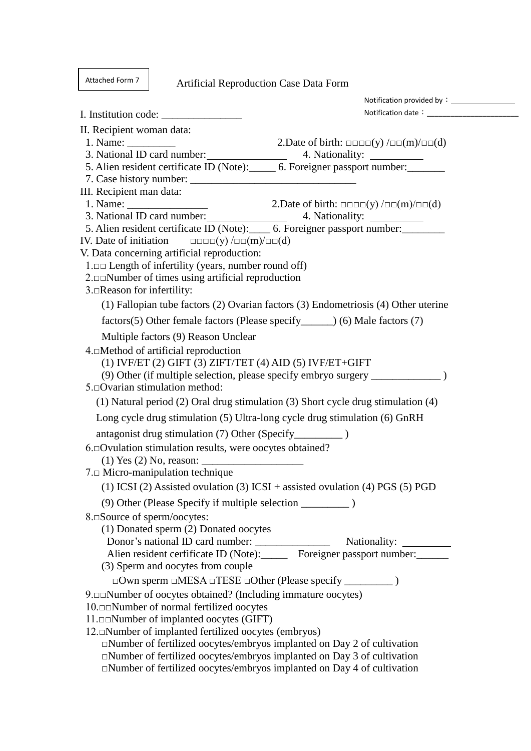Attached Form 7

Artificial Reproduction Case Data Form

| II. Recipient woman data:                                                                                                                                                                                                                                                                                                                                                                                                                       |                                                                                                                                                                                                                                |
|-------------------------------------------------------------------------------------------------------------------------------------------------------------------------------------------------------------------------------------------------------------------------------------------------------------------------------------------------------------------------------------------------------------------------------------------------|--------------------------------------------------------------------------------------------------------------------------------------------------------------------------------------------------------------------------------|
| 1. Name: $\frac{1}{\sqrt{1-\frac{1}{2}}}\qquad \qquad \frac{1}{\sqrt{1-\frac{1}{2}}}\qquad \qquad \frac{1}{\sqrt{1-\frac{1}{2}}}\qquad \qquad \frac{1}{\sqrt{1-\frac{1}{2}}}\qquad \qquad \frac{1}{\sqrt{1-\frac{1}{2}}}\qquad \qquad \frac{1}{\sqrt{1-\frac{1}{2}}}\qquad \qquad \frac{1}{\sqrt{1-\frac{1}{2}}}\qquad \qquad \frac{1}{\sqrt{1-\frac{1}{2}}}\qquad \qquad \frac{1}{\sqrt{1-\frac{1}{2}}}\qquad \qquad \frac{1}{\sqrt{1-\frac{1$ | 2. Date of birth: $\Box \Box \Box \Box$ (y) $/\Box \Box$ (m) $/\Box \Box$ (d)                                                                                                                                                  |
|                                                                                                                                                                                                                                                                                                                                                                                                                                                 | 4. Nationality: _____________                                                                                                                                                                                                  |
| 5. Alien resident certificate ID (Note): 6. Foreigner passport number:                                                                                                                                                                                                                                                                                                                                                                          |                                                                                                                                                                                                                                |
|                                                                                                                                                                                                                                                                                                                                                                                                                                                 |                                                                                                                                                                                                                                |
| III. Recipient man data:                                                                                                                                                                                                                                                                                                                                                                                                                        |                                                                                                                                                                                                                                |
|                                                                                                                                                                                                                                                                                                                                                                                                                                                 |                                                                                                                                                                                                                                |
| 3. National ID card number:                                                                                                                                                                                                                                                                                                                                                                                                                     |                                                                                                                                                                                                                                |
| 5. Alien resident certificate ID (Note): 6. Foreigner passport number:                                                                                                                                                                                                                                                                                                                                                                          |                                                                                                                                                                                                                                |
| IV. Date of initiation $\Box$ $\Box$ $\Box$ $(y)$ / $\Box$ $(m)$ / $\Box$ $(d)$<br>V. Data concerning artificial reproduction:                                                                                                                                                                                                                                                                                                                  |                                                                                                                                                                                                                                |
| $1 \text{ cm}$ Length of infertility (years, number round off)                                                                                                                                                                                                                                                                                                                                                                                  |                                                                                                                                                                                                                                |
| $2. \Box \Box$ Number of times using artificial reproduction                                                                                                                                                                                                                                                                                                                                                                                    |                                                                                                                                                                                                                                |
| 3.□Reason for infertility:                                                                                                                                                                                                                                                                                                                                                                                                                      |                                                                                                                                                                                                                                |
|                                                                                                                                                                                                                                                                                                                                                                                                                                                 | (1) Fallopian tube factors (2) Ovarian factors (3) Endometriosis (4) Other uterine                                                                                                                                             |
| factors(5) Other female factors (Please specify_______) (6) Male factors (7)                                                                                                                                                                                                                                                                                                                                                                    |                                                                                                                                                                                                                                |
| Multiple factors (9) Reason Unclear                                                                                                                                                                                                                                                                                                                                                                                                             |                                                                                                                                                                                                                                |
| 4.□Method of artificial reproduction                                                                                                                                                                                                                                                                                                                                                                                                            |                                                                                                                                                                                                                                |
| $(1)$ IVF/ET $(2)$ GIFT $(3)$ ZIFT/TET $(4)$ AID $(5)$ IVF/ET+GIFT                                                                                                                                                                                                                                                                                                                                                                              |                                                                                                                                                                                                                                |
|                                                                                                                                                                                                                                                                                                                                                                                                                                                 | (9) Other (if multiple selection, please specify embryo surgery ________________                                                                                                                                               |
| 5.□Ovarian stimulation method:                                                                                                                                                                                                                                                                                                                                                                                                                  |                                                                                                                                                                                                                                |
|                                                                                                                                                                                                                                                                                                                                                                                                                                                 | (1) Natural period (2) Oral drug stimulation (3) Short cycle drug stimulation (4)                                                                                                                                              |
| Long cycle drug stimulation (5) Ultra-long cycle drug stimulation (6) GnRH                                                                                                                                                                                                                                                                                                                                                                      |                                                                                                                                                                                                                                |
|                                                                                                                                                                                                                                                                                                                                                                                                                                                 |                                                                                                                                                                                                                                |
| 6.⊡Ovulation stimulation results, were oocytes obtained?                                                                                                                                                                                                                                                                                                                                                                                        |                                                                                                                                                                                                                                |
|                                                                                                                                                                                                                                                                                                                                                                                                                                                 |                                                                                                                                                                                                                                |
| 7. D Micro-manipulation technique                                                                                                                                                                                                                                                                                                                                                                                                               |                                                                                                                                                                                                                                |
|                                                                                                                                                                                                                                                                                                                                                                                                                                                 | (1) ICSI (2) Assisted ovulation (3) ICSI + assisted ovulation (4) PGS (5) PGD                                                                                                                                                  |
|                                                                                                                                                                                                                                                                                                                                                                                                                                                 |                                                                                                                                                                                                                                |
| 8. ΩSource of sperm/oocytes:                                                                                                                                                                                                                                                                                                                                                                                                                    |                                                                                                                                                                                                                                |
| (1) Donated sperm (2) Donated oocytes                                                                                                                                                                                                                                                                                                                                                                                                           |                                                                                                                                                                                                                                |
|                                                                                                                                                                                                                                                                                                                                                                                                                                                 |                                                                                                                                                                                                                                |
|                                                                                                                                                                                                                                                                                                                                                                                                                                                 | Donor's national ID card number: Nationality: Nationality: Nationality: Nationality: Nationality: Nationality: Nationality: Nationality: Nationality: Nationality: Nationality: Nationality: Nationality: Nationality: Nationa |
| (3) Sperm and oocytes from couple                                                                                                                                                                                                                                                                                                                                                                                                               |                                                                                                                                                                                                                                |
|                                                                                                                                                                                                                                                                                                                                                                                                                                                 |                                                                                                                                                                                                                                |
| 9. <u>De</u> Number of oocytes obtained? (Including immature oocytes)                                                                                                                                                                                                                                                                                                                                                                           |                                                                                                                                                                                                                                |
| 10. O D Number of normal fertilized oocytes                                                                                                                                                                                                                                                                                                                                                                                                     |                                                                                                                                                                                                                                |
| 11. Do Number of implanted oocytes (GIFT)                                                                                                                                                                                                                                                                                                                                                                                                       |                                                                                                                                                                                                                                |
| 12. Number of implanted fertilized oocytes (embryos)                                                                                                                                                                                                                                                                                                                                                                                            |                                                                                                                                                                                                                                |
| $\square$ Number of fertilized oocytes/embryos implanted on Day 2 of cultivation                                                                                                                                                                                                                                                                                                                                                                |                                                                                                                                                                                                                                |
| $\square$ Number of fertilized oocytes/embryos implanted on Day 3 of cultivation                                                                                                                                                                                                                                                                                                                                                                |                                                                                                                                                                                                                                |
| $\Box$ Number of fertilized oocytes/embryos implanted on Day 4 of cultivation                                                                                                                                                                                                                                                                                                                                                                   |                                                                                                                                                                                                                                |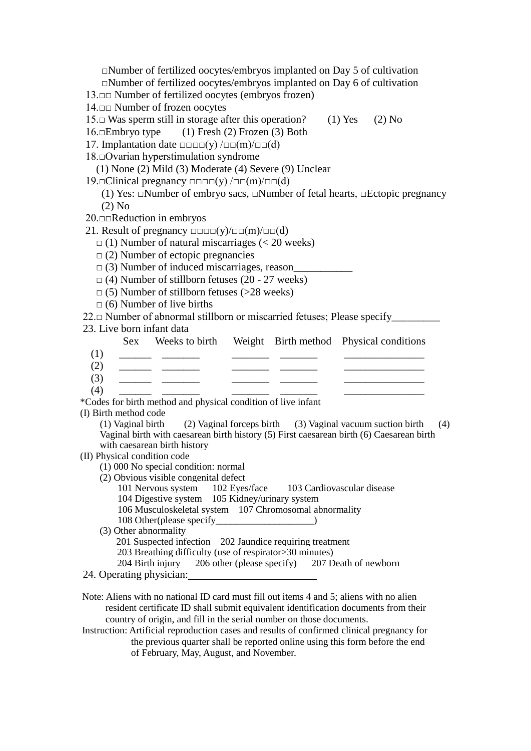□Number of fertilized oocytes/embryos implanted on Day 5 of cultivation □Number of fertilized oocytes/embryos implanted on Day 6 of cultivation 13.□□ Number of fertilized oocytes (embryos frozen) 14.□□ Number of frozen oocytes 15.□ Was sperm still in storage after this operation? (1) Yes (2) No 16.□Embryo type (1) Fresh (2) Frozen (3) Both 17. Implantation date  $\Box \Box \Box(v) / \Box \Box(m) / \Box \Box(d)$ 18.□Ovarian hyperstimulation syndrome (1) None (2) Mild (3) Moderate (4) Severe (9) Unclear 19.□Clinical pregnancy □□□□(y) /□□(m)/□□(d) (1) Yes: □Number of embryo sacs, □Number of fetal hearts, □Ectopic pregnancy (2) No 20.□□Reduction in embryos 21. Result of pregnancy  $\square$  $\square \square \square$  $(y)/\square \square (m)/\square \square (d)$  $\Box$  (1) Number of natural miscarriages (< 20 weeks)  $\Box$  (2) Number of ectopic pregnancies  $\Box$  (3) Number of induced miscarriages, reason  $\Box$  (4) Number of stillborn fetuses (20 - 27 weeks)  $\Box$  (5) Number of stillborn fetuses (>28 weeks)  $\Box$  (6) Number of live births 22.□ Number of abnormal stillborn or miscarried fetuses; Please specify\_\_\_\_\_\_\_\_ 23. Live born infant data Sex Weeks to birth Weight Birth method Physical conditions (1) \_\_\_\_\_\_ \_\_\_\_\_\_\_ \_\_\_\_\_\_\_ \_\_\_\_\_\_\_ \_\_\_\_\_\_\_\_\_\_\_\_\_\_\_  $(2)$ (3) \_\_\_\_\_\_ \_\_\_\_\_\_\_ \_\_\_\_\_\_\_ \_\_\_\_\_\_\_ \_\_\_\_\_\_\_\_\_\_\_\_\_\_\_ (4) \_\_\_\_\_\_ \_\_\_\_\_\_\_ \_\_\_\_\_\_\_ \_\_\_\_\_\_\_ \_\_\_\_\_\_\_\_\_\_\_\_\_\_\_ \*Codes for birth method and physical condition of live infant (I) Birth method code (1) Vaginal birth (2) Vaginal forceps birth (3) Vaginal vacuum suction birth (4) Vaginal birth with caesarean birth history (5) First caesarean birth (6) Caesarean birth with caesarean birth history (II) Physical condition code (1) 000 No special condition: normal (2) Obvious visible congenital defect 101 Nervous system 102 Eyes/face 103 Cardiovascular disease 104 Digestive system 105 Kidney/urinary system 106 Musculoskeletal system 107 Chromosomal abnormality 108 Other(please specify\_\_\_\_\_\_\_\_\_\_\_\_\_\_\_\_\_\_\_\_) (3) Other abnormality 201 Suspected infection 202 Jaundice requiring treatment 203 Breathing difficulty (use of respirator>30 minutes) 204 Birth injury 206 other (please specify) 207 Death of newborn 24. Operating physician: Note: Aliens with no national ID card must fill out items 4 and 5; aliens with no alien resident certificate ID shall submit equivalent identification documents from their country of origin, and fill in the serial number on those documents.

Instruction: Artificial reproduction cases and results of confirmed clinical pregnancy for the previous quarter shall be reported online using this form before the end of February, May, August, and November.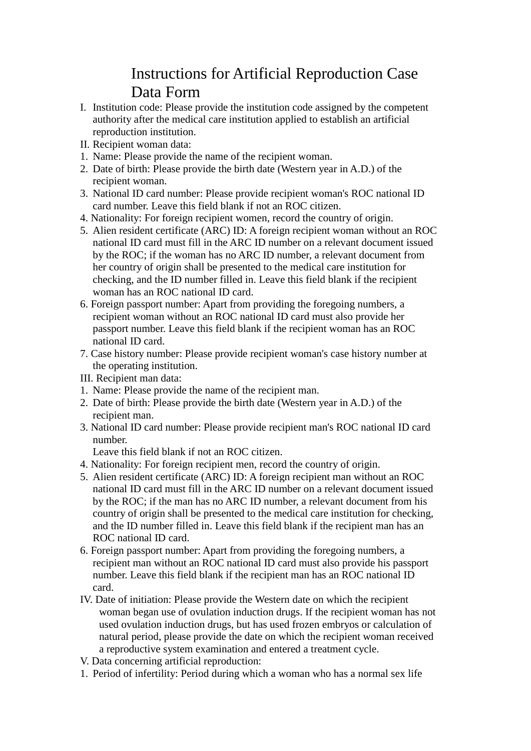# Instructions for Artificial Reproduction Case Data Form

- I. Institution code: Please provide the institution code assigned by the competent authority after the medical care institution applied to establish an artificial reproduction institution.
- II. Recipient woman data:
- 1. Name: Please provide the name of the recipient woman.
- 2. Date of birth: Please provide the birth date (Western year in A.D.) of the recipient woman.
- 3. National ID card number: Please provide recipient woman's ROC national ID card number. Leave this field blank if not an ROC citizen.
- 4. Nationality: For foreign recipient women, record the country of origin.
- 5. Alien resident certificate (ARC) ID: A foreign recipient woman without an ROC national ID card must fill in the ARC ID number on a relevant document issued by the ROC; if the woman has no ARC ID number, a relevant document from her country of origin shall be presented to the medical care institution for checking, and the ID number filled in. Leave this field blank if the recipient woman has an ROC national ID card.
- 6. Foreign passport number: Apart from providing the foregoing numbers, a recipient woman without an ROC national ID card must also provide her passport number. Leave this field blank if the recipient woman has an ROC national ID card.
- 7. Case history number: Please provide recipient woman's case history number at the operating institution.
- III. Recipient man data:
- 1. Name: Please provide the name of the recipient man.
- 2. Date of birth: Please provide the birth date (Western year in A.D.) of the recipient man.
- 3. National ID card number: Please provide recipient man's ROC national ID card number.

Leave this field blank if not an ROC citizen.

- 4. Nationality: For foreign recipient men, record the country of origin.
- 5. Alien resident certificate (ARC) ID: A foreign recipient man without an ROC national ID card must fill in the ARC ID number on a relevant document issued by the ROC; if the man has no ARC ID number, a relevant document from his country of origin shall be presented to the medical care institution for checking, and the ID number filled in. Leave this field blank if the recipient man has an ROC national ID card.
- 6. Foreign passport number: Apart from providing the foregoing numbers, a recipient man without an ROC national ID card must also provide his passport number. Leave this field blank if the recipient man has an ROC national ID card.
- IV. Date of initiation: Please provide the Western date on which the recipient woman began use of ovulation induction drugs. If the recipient woman has not used ovulation induction drugs, but has used frozen embryos or calculation of natural period, please provide the date on which the recipient woman received a reproductive system examination and entered a treatment cycle.
- V. Data concerning artificial reproduction:
- 1. Period of infertility: Period during which a woman who has a normal sex life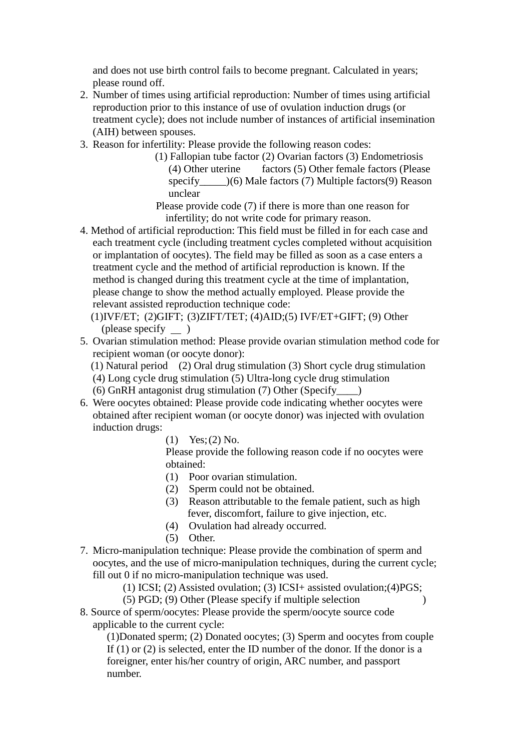and does not use birth control fails to become pregnant. Calculated in years; please round off.

- 2. Number of times using artificial reproduction: Number of times using artificial reproduction prior to this instance of use of ovulation induction drugs (or treatment cycle); does not include number of instances of artificial insemination (AIH) between spouses.
- 3. Reason for infertility: Please provide the following reason codes:
	- (1) Fallopian tube factor (2) Ovarian factors (3) Endometriosis (4) Other uterine factors (5) Other female factors (Please specify  $()$  (6) Male factors (7) Multiple factors (9) Reason unclear

Please provide code (7) if there is more than one reason for infertility; do not write code for primary reason.

- 4. Method of artificial reproduction: This field must be filled in for each case and each treatment cycle (including treatment cycles completed without acquisition or implantation of oocytes). The field may be filled as soon as a case enters a treatment cycle and the method of artificial reproduction is known. If the method is changed during this treatment cycle at the time of implantation, please change to show the method actually employed. Please provide the relevant assisted reproduction technique code:
	- (1)IVF/ET; (2)GIFT; (3)ZIFT/TET; (4)AID;(5) IVF/ET+GIFT; (9) Other (please specify )
- 5. Ovarian stimulation method: Please provide ovarian stimulation method code for recipient woman (or oocyte donor):
	- (1) Natural period (2) Oral drug stimulation (3) Short cycle drug stimulation
	- (4) Long cycle drug stimulation (5) Ultra-long cycle drug stimulation
	- (6) GnRH antagonist drug stimulation (7) Other (Specify\_\_\_\_)
- 6. Were oocytes obtained: Please provide code indicating whether oocytes were obtained after recipient woman (or oocyte donor) was injected with ovulation induction drugs:
	- $(1)$  Yes;  $(2)$  No.

Please provide the following reason code if no oocytes were obtained:

- (1) Poor ovarian stimulation.
- (2) Sperm could not be obtained.
- (3) Reason attributable to the female patient, such as high fever, discomfort, failure to give injection, etc.
- (4) Ovulation had already occurred.
- (5) Other.
- 7. Micro-manipulation technique: Please provide the combination of sperm and oocytes, and the use of micro-manipulation techniques, during the current cycle; fill out 0 if no micro-manipulation technique was used.

(1) ICSI; (2) Assisted ovulation; (3) ICSI+ assisted ovulation;(4)PGS;

- (5) PGD; (9) Other (Please specify if multiple selection )
- 8. Source of sperm/oocytes: Please provide the sperm/oocyte source code applicable to the current cycle:

 (1)Donated sperm; (2) Donated oocytes; (3) Sperm and oocytes from couple If (1) or (2) is selected, enter the ID number of the donor. If the donor is a foreigner, enter his/her country of origin, ARC number, and passport number.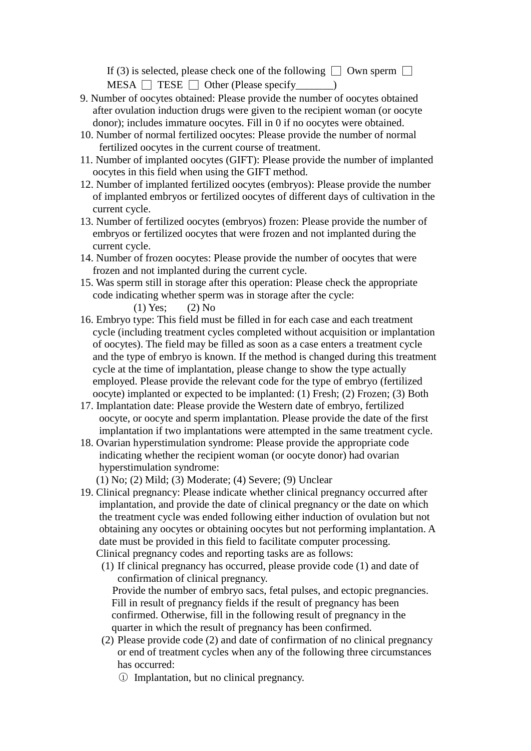If (3) is selected, please check one of the following  $\Box$  Own sperm  $\Box$ MESA □ TESE □ Other (Please specify\_\_\_\_\_\_\_)

- 9. Number of oocytes obtained: Please provide the number of oocytes obtained after ovulation induction drugs were given to the recipient woman (or oocyte donor); includes immature oocytes. Fill in 0 if no oocytes were obtained.
- 10. Number of normal fertilized oocytes: Please provide the number of normal fertilized oocytes in the current course of treatment.
- 11. Number of implanted oocytes (GIFT): Please provide the number of implanted oocytes in this field when using the GIFT method.
- 12. Number of implanted fertilized oocytes (embryos): Please provide the number of implanted embryos or fertilized oocytes of different days of cultivation in the current cycle.
- 13. Number of fertilized oocytes (embryos) frozen: Please provide the number of embryos or fertilized oocytes that were frozen and not implanted during the current cycle.
- 14. Number of frozen oocytes: Please provide the number of oocytes that were frozen and not implanted during the current cycle.
- 15. Was sperm still in storage after this operation: Please check the appropriate code indicating whether sperm was in storage after the cycle:

 $(1)$  Yes;  $(2)$  No

- 16. Embryo type: This field must be filled in for each case and each treatment cycle (including treatment cycles completed without acquisition or implantation of oocytes). The field may be filled as soon as a case enters a treatment cycle and the type of embryo is known. If the method is changed during this treatment cycle at the time of implantation, please change to show the type actually employed. Please provide the relevant code for the type of embryo (fertilized oocyte) implanted or expected to be implanted: (1) Fresh; (2) Frozen; (3) Both
- 17. Implantation date: Please provide the Western date of embryo, fertilized oocyte, or oocyte and sperm implantation. Please provide the date of the first implantation if two implantations were attempted in the same treatment cycle.
- 18. Ovarian hyperstimulation syndrome: Please provide the appropriate code indicating whether the recipient woman (or oocyte donor) had ovarian hyperstimulation syndrome:
	- (1) No; (2) Mild; (3) Moderate; (4) Severe; (9) Unclear
- 19. Clinical pregnancy: Please indicate whether clinical pregnancy occurred after implantation, and provide the date of clinical pregnancy or the date on which the treatment cycle was ended following either induction of ovulation but not obtaining any oocytes or obtaining oocytes but not performing implantation. A date must be provided in this field to facilitate computer processing. Clinical pregnancy codes and reporting tasks are as follows:
	- (1) If clinical pregnancy has occurred, please provide code (1) and date of confirmation of clinical pregnancy. Provide the number of embryo sacs, fetal pulses, and ectopic pregnancies. Fill in result of pregnancy fields if the result of pregnancy has been confirmed. Otherwise, fill in the following result of pregnancy in the quarter in which the result of pregnancy has been confirmed.
	- (2) Please provide code (2) and date of confirmation of no clinical pregnancy or end of treatment cycles when any of the following three circumstances has occurred:
		- ○<sup>1</sup> Implantation, but no clinical pregnancy.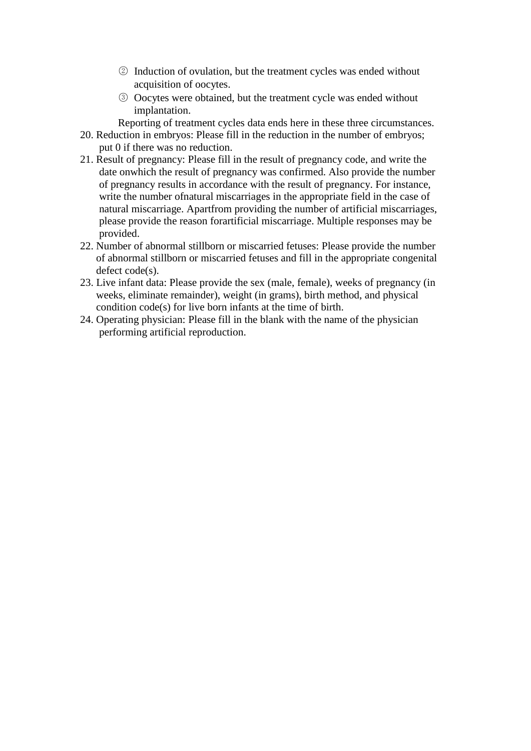- ○<sup>2</sup> Induction of ovulation, but the treatment cycles was ended without acquisition of oocytes.
- ○<sup>3</sup> Oocytes were obtained, but the treatment cycle was ended without implantation.

Reporting of treatment cycles data ends here in these three circumstances.

- 20. Reduction in embryos: Please fill in the reduction in the number of embryos; put 0 if there was no reduction.
- 21. Result of pregnancy: Please fill in the result of pregnancy code, and write the date onwhich the result of pregnancy was confirmed. Also provide the number of pregnancy results in accordance with the result of pregnancy. For instance, write the number ofnatural miscarriages in the appropriate field in the case of natural miscarriage. Apartfrom providing the number of artificial miscarriages, please provide the reason forartificial miscarriage. Multiple responses may be provided.
- 22. Number of abnormal stillborn or miscarried fetuses: Please provide the number of abnormal stillborn or miscarried fetuses and fill in the appropriate congenital defect code(s).
- 23. Live infant data: Please provide the sex (male, female), weeks of pregnancy (in weeks, eliminate remainder), weight (in grams), birth method, and physical condition code(s) for live born infants at the time of birth.
- 24. Operating physician: Please fill in the blank with the name of the physician performing artificial reproduction.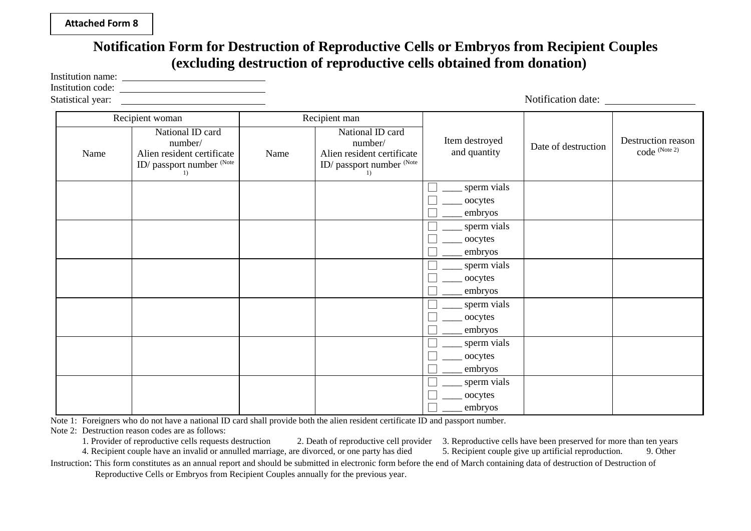### **Attached Form 8**

### **Notification Form for Destruction of Reproductive Cells or Embryos from Recipient Couples (excluding destruction of reproductive cells obtained from donation)**

Institution name:

Institution code:

Statistical year: Notification date: Recipient woman and Recipient man Item destroyed tem destroyed Date of destruction  $\left| \right|$  Destruction reason<br>
code (Note 2) Name Alien resident certificate Name Alien resident certificate and quantity  $\left| \begin{array}{c} \text{Date of desufuction} \\ \text{code} \end{array} \right|$ National ID card number/ ID/ passport number (Note 1) Name National ID card number/ Alien resident certificate ID/ passport number (Note 1) sperm vials oocytes embryos sperm vials oocytes embryos sperm vials oocytes embryos sperm vials \_oocytes embryos sperm vials oocytes embryos sperm vials

Note 1: Foreigners who do not have a national ID card shall provide both the alien resident certificate ID and passport number.

Note 2: Destruction reason codes are as follows:<br>1. Provider of reproductive cells requests destruction

2. Death of reproductive cell provider 3. Reproductive cells have been preserved for more than ten years re divorced, or one party has died 5. Recipient couple give up artificial reproduction. 9. Other 4. Recipient couple have an invalid or annulled marriage, are divorced, or one party has died 5. Recipient couple give up artificial reproduction. 9. Other

oocytes embryos

Instruction: This form constitutes as an annual report and should be submitted in electronic form before the end of March containing data of destruction of Destruction of Reproductive Cells or Embryos from Recipient Couples annually for the previous year.